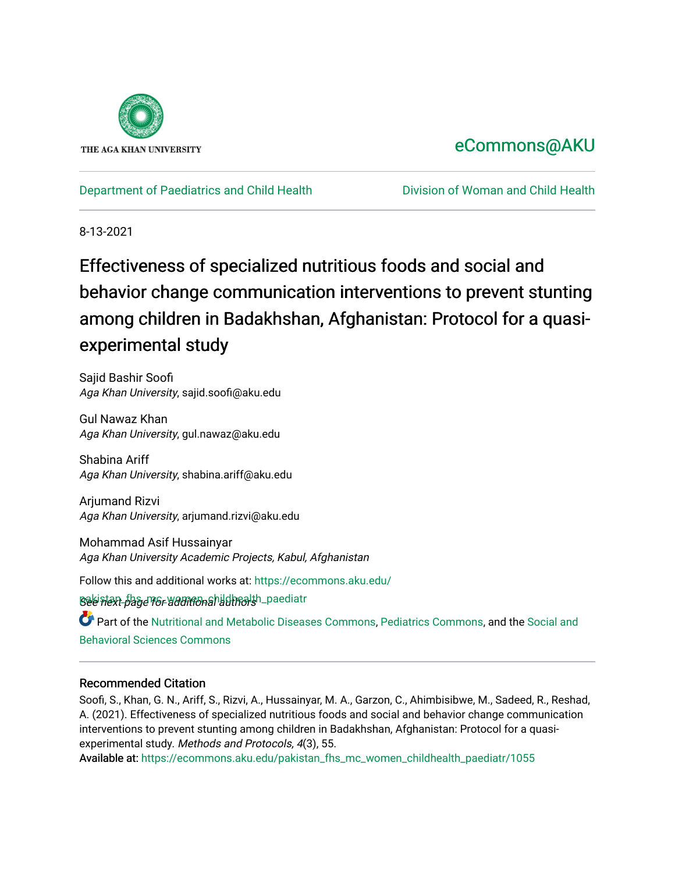

## [eCommons@AKU](https://ecommons.aku.edu/)

[Department of Paediatrics and Child Health](https://ecommons.aku.edu/pakistan_fhs_mc_women_childhealth_paediatr) [Division of Woman and Child Health](https://ecommons.aku.edu/pakistan_fhs_mc_women_childhealth) 

8-13-2021

# Effectiveness of specialized nutritious foods and social and behavior change communication interventions to prevent stunting among children in Badakhshan, Afghanistan: Protocol for a quasiexperimental study

Sajid Bashir Soofi Aga Khan University, sajid.soofi@aku.edu

Gul Nawaz Khan Aga Khan University, gul.nawaz@aku.edu

Shabina Ariff Aga Khan University, shabina.ariff@aku.edu

Arjumand Rizvi Aga Khan University, arjumand.rizvi@aku.edu

Mohammad Asif Hussainyar Aga Khan University Academic Projects, Kabul, Afghanistan

Follow this and additional works at: [https://ecommons.aku.edu/](https://ecommons.aku.edu/pakistan_fhs_mc_women_childhealth_paediatr?utm_source=ecommons.aku.edu%2Fpakistan_fhs_mc_women_childhealth_paediatr%2F1055&utm_medium=PDF&utm_campaign=PDFCoverPages)

See next page 16 r additional althrolsh\_paediatr

Part of the [Nutritional and Metabolic Diseases Commons,](http://network.bepress.com/hgg/discipline/1003?utm_source=ecommons.aku.edu%2Fpakistan_fhs_mc_women_childhealth_paediatr%2F1055&utm_medium=PDF&utm_campaign=PDFCoverPages) [Pediatrics Commons,](http://network.bepress.com/hgg/discipline/700?utm_source=ecommons.aku.edu%2Fpakistan_fhs_mc_women_childhealth_paediatr%2F1055&utm_medium=PDF&utm_campaign=PDFCoverPages) and the Social and [Behavioral Sciences Commons](http://network.bepress.com/hgg/discipline/316?utm_source=ecommons.aku.edu%2Fpakistan_fhs_mc_women_childhealth_paediatr%2F1055&utm_medium=PDF&utm_campaign=PDFCoverPages) 

## Recommended Citation

Soofi, S., Khan, G. N., Ariff, S., Rizvi, A., Hussainyar, M. A., Garzon, C., Ahimbisibwe, M., Sadeed, R., Reshad, A. (2021). Effectiveness of specialized nutritious foods and social and behavior change communication interventions to prevent stunting among children in Badakhshan, Afghanistan: Protocol for a quasiexperimental study. Methods and Protocols, 4(3), 55.

Available at: [https://ecommons.aku.edu/pakistan\\_fhs\\_mc\\_women\\_childhealth\\_paediatr/1055](https://ecommons.aku.edu/pakistan_fhs_mc_women_childhealth_paediatr/1055)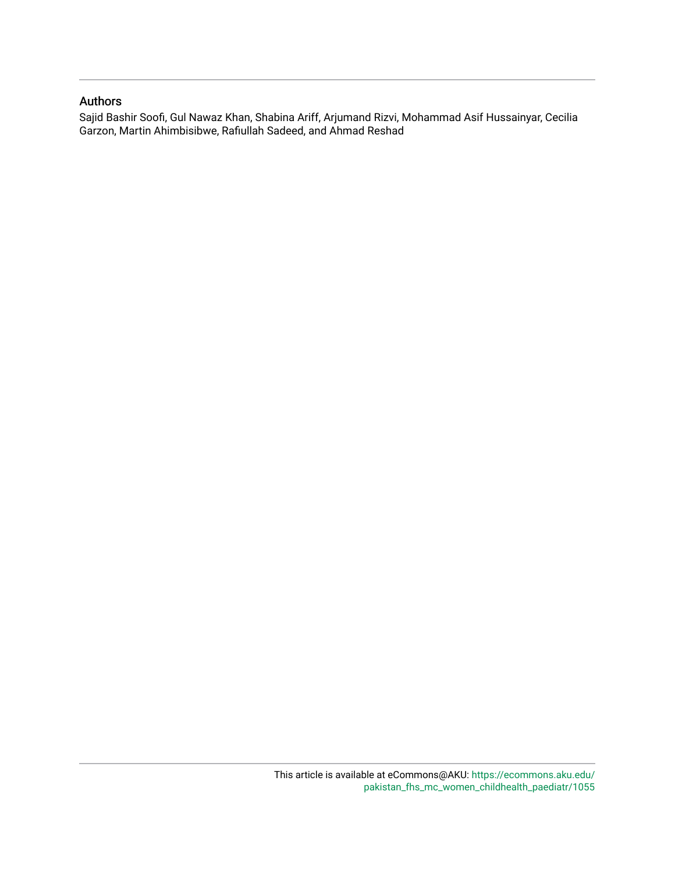## Authors

Sajid Bashir Soofi, Gul Nawaz Khan, Shabina Ariff, Arjumand Rizvi, Mohammad Asif Hussainyar, Cecilia Garzon, Martin Ahimbisibwe, Rafiullah Sadeed, and Ahmad Reshad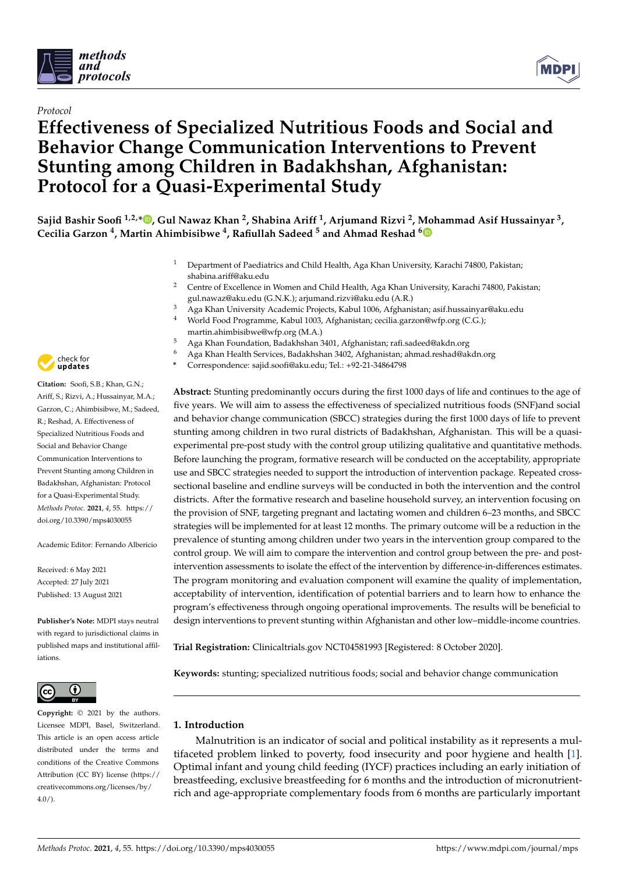

## *Protocol*

## **Effectiveness of Specialized Nutritious Foods and Social and Behavior Change Communication Interventions to Prevent Stunting among Children in Badakhshan, Afghanistan: Protocol for a Quasi-Experimental Study**

**Sajid Bashir Soofi 1,2,\* [,](https://orcid.org/0000-0003-4192-8406) Gul Nawaz Khan <sup>2</sup> , Shabina Ariff <sup>1</sup> , Arjumand Rizvi <sup>2</sup> , Mohammad Asif Hussainyar <sup>3</sup> , Cecilia Garzon <sup>4</sup> , Martin Ahimbisibwe <sup>4</sup> , Rafiullah Sadeed <sup>5</sup> and Ahmad Reshad [6](https://orcid.org/0000-0002-1748-8925)**

- <sup>1</sup> Department of Paediatrics and Child Health, Aga Khan University, Karachi 74800, Pakistan; shabina.ariff@aku.edu
- <sup>2</sup> Centre of Excellence in Women and Child Health, Aga Khan University, Karachi 74800, Pakistan; gul.nawaz@aku.edu (G.N.K.); arjumand.rizvi@aku.edu (A.R.)
- <sup>3</sup> Aga Khan University Academic Projects, Kabul 1006, Afghanistan; asif.hussainyar@aku.edu
- <sup>4</sup> World Food Programme, Kabul 1003, Afghanistan; cecilia.garzon@wfp.org (C.G.); martin.ahimbisibwe@wfp.org (M.A.)
	- <sup>5</sup> Aga Khan Foundation, Badakhshan 3401, Afghanistan; rafi.sadeed@akdn.org
	- <sup>6</sup> Aga Khan Health Services, Badakhshan 3402, Afghanistan; ahmad.reshad@akdn.org
- **\*** Correspondence: sajid.soofi@aku.edu; Tel.: +92-21-34864798

**Abstract:** Stunting predominantly occurs during the first 1000 days of life and continues to the age of five years. We will aim to assess the effectiveness of specialized nutritious foods (SNF)and social and behavior change communication (SBCC) strategies during the first 1000 days of life to prevent stunting among children in two rural districts of Badakhshan, Afghanistan. This will be a quasiexperimental pre-post study with the control group utilizing qualitative and quantitative methods. Before launching the program, formative research will be conducted on the acceptability, appropriate use and SBCC strategies needed to support the introduction of intervention package. Repeated crosssectional baseline and endline surveys will be conducted in both the intervention and the control districts. After the formative research and baseline household survey, an intervention focusing on the provision of SNF, targeting pregnant and lactating women and children 6–23 months, and SBCC strategies will be implemented for at least 12 months. The primary outcome will be a reduction in the prevalence of stunting among children under two years in the intervention group compared to the control group. We will aim to compare the intervention and control group between the pre- and postintervention assessments to isolate the effect of the intervention by difference-in-differences estimates. The program monitoring and evaluation component will examine the quality of implementation, acceptability of intervention, identification of potential barriers and to learn how to enhance the program's effectiveness through ongoing operational improvements. The results will be beneficial to design interventions to prevent stunting within Afghanistan and other low–middle-income countries.

**Trial Registration:** Clinicaltrials.gov NCT04581993 [Registered: 8 October 2020].

**Keywords:** stunting; specialized nutritious foods; social and behavior change communication

## **1. Introduction**

Malnutrition is an indicator of social and political instability as it represents a multifaceted problem linked to poverty, food insecurity and poor hygiene and health [\[1\]](#page-12-0). Optimal infant and young child feeding (IYCF) practices including an early initiation of breastfeeding, exclusive breastfeeding for 6 months and the introduction of micronutrientrich and age-appropriate complementary foods from 6 months are particularly important



**Citation:** Soofi, S.B.; Khan, G.N.; Ariff, S.; Rizvi, A.; Hussainyar, M.A.; Garzon, C.; Ahimbisibwe, M.; Sadeed, R.; Reshad, A. Effectiveness of Specialized Nutritious Foods and Social and Behavior Change Communication Interventions to Prevent Stunting among Children in Badakhshan, Afghanistan: Protocol for a Quasi-Experimental Study. *Methods Protoc.* **2021**, *4*, 55. [https://](https://doi.org/10.3390/mps4030055) [doi.org/10.3390/mps4030055](https://doi.org/10.3390/mps4030055)

Academic Editor: Fernando Albericio

Received: 6 May 2021 Accepted: 27 July 2021 Published: 13 August 2021

**Publisher's Note:** MDPI stays neutral with regard to jurisdictional claims in published maps and institutional affiliations.



**Copyright:** © 2021 by the authors. Licensee MDPI, Basel, Switzerland. This article is an open access article distributed under the terms and conditions of the Creative Commons Attribution (CC BY) license (https:/[/](https://creativecommons.org/licenses/by/4.0/) [creativecommons.org/licenses/by/](https://creativecommons.org/licenses/by/4.0/)  $4.0/$ ).

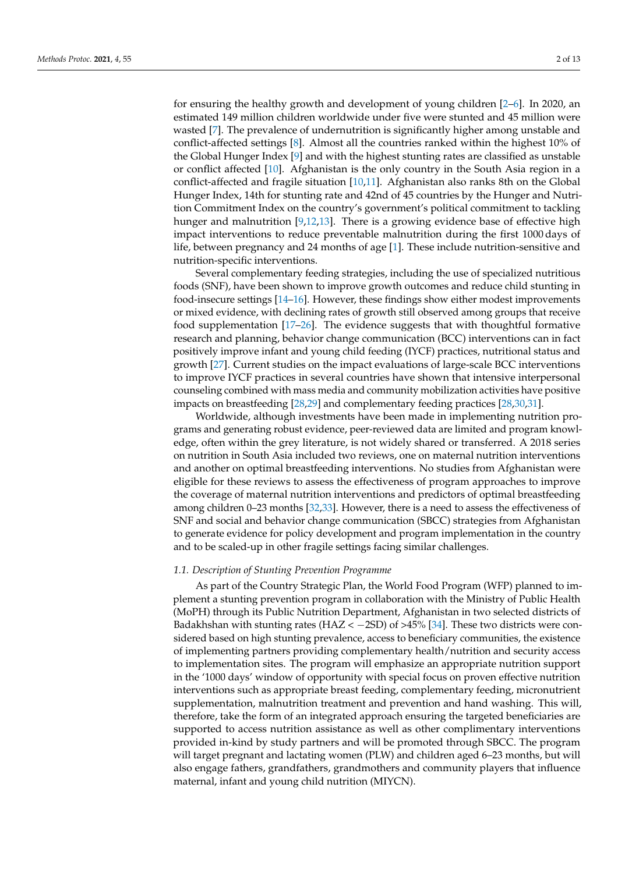for ensuring the healthy growth and development of young children [\[2–](#page-12-1)[6\]](#page-12-2). In 2020, an estimated 149 million children worldwide under five were stunted and 45 million were wasted [\[7\]](#page-12-3). The prevalence of undernutrition is significantly higher among unstable and conflict-affected settings [\[8\]](#page-12-4). Almost all the countries ranked within the highest 10% of the Global Hunger Index [\[9\]](#page-12-5) and with the highest stunting rates are classified as unstable or conflict affected [\[10\]](#page-12-6). Afghanistan is the only country in the South Asia region in a conflict-affected and fragile situation [\[10,](#page-12-6)[11\]](#page-12-7). Afghanistan also ranks 8th on the Global Hunger Index, 14th for stunting rate and 42nd of 45 countries by the Hunger and Nutrition Commitment Index on the country's government's political commitment to tackling hunger and malnutrition [\[9,](#page-12-5)[12,](#page-12-8)[13\]](#page-12-9). There is a growing evidence base of effective high impact interventions to reduce preventable malnutrition during the first 1000 days of life, between pregnancy and 24 months of age [\[1\]](#page-12-0). These include nutrition-sensitive and nutrition-specific interventions.

Several complementary feeding strategies, including the use of specialized nutritious foods (SNF), have been shown to improve growth outcomes and reduce child stunting in food-insecure settings [\[14–](#page-12-10)[16\]](#page-13-0). However, these findings show either modest improvements or mixed evidence, with declining rates of growth still observed among groups that receive food supplementation [\[17–](#page-13-1)[26\]](#page-13-2). The evidence suggests that with thoughtful formative research and planning, behavior change communication (BCC) interventions can in fact positively improve infant and young child feeding (IYCF) practices, nutritional status and growth [\[27\]](#page-13-3). Current studies on the impact evaluations of large-scale BCC interventions to improve IYCF practices in several countries have shown that intensive interpersonal counseling combined with mass media and community mobilization activities have positive impacts on breastfeeding [\[28](#page-13-4)[,29\]](#page-13-5) and complementary feeding practices [\[28](#page-13-4)[,30](#page-13-6)[,31\]](#page-13-7).

Worldwide, although investments have been made in implementing nutrition programs and generating robust evidence, peer-reviewed data are limited and program knowledge, often within the grey literature, is not widely shared or transferred. A 2018 series on nutrition in South Asia included two reviews, one on maternal nutrition interventions and another on optimal breastfeeding interventions. No studies from Afghanistan were eligible for these reviews to assess the effectiveness of program approaches to improve the coverage of maternal nutrition interventions and predictors of optimal breastfeeding among children 0–23 months [\[32](#page-13-8)[,33\]](#page-13-9). However, there is a need to assess the effectiveness of SNF and social and behavior change communication (SBCC) strategies from Afghanistan to generate evidence for policy development and program implementation in the country and to be scaled-up in other fragile settings facing similar challenges.

#### *1.1. Description of Stunting Prevention Programme*

As part of the Country Strategic Plan, the World Food Program (WFP) planned to implement a stunting prevention program in collaboration with the Ministry of Public Health (MoPH) through its Public Nutrition Department, Afghanistan in two selected districts of Badakhshan with stunting rates (HAZ < -2SD) of >45% [\[34\]](#page-13-10). These two districts were considered based on high stunting prevalence, access to beneficiary communities, the existence of implementing partners providing complementary health/nutrition and security access to implementation sites. The program will emphasize an appropriate nutrition support in the '1000 days' window of opportunity with special focus on proven effective nutrition interventions such as appropriate breast feeding, complementary feeding, micronutrient supplementation, malnutrition treatment and prevention and hand washing. This will, therefore, take the form of an integrated approach ensuring the targeted beneficiaries are supported to access nutrition assistance as well as other complimentary interventions provided in-kind by study partners and will be promoted through SBCC. The program will target pregnant and lactating women (PLW) and children aged 6–23 months, but will also engage fathers, grandfathers, grandmothers and community players that influence maternal, infant and young child nutrition (MIYCN).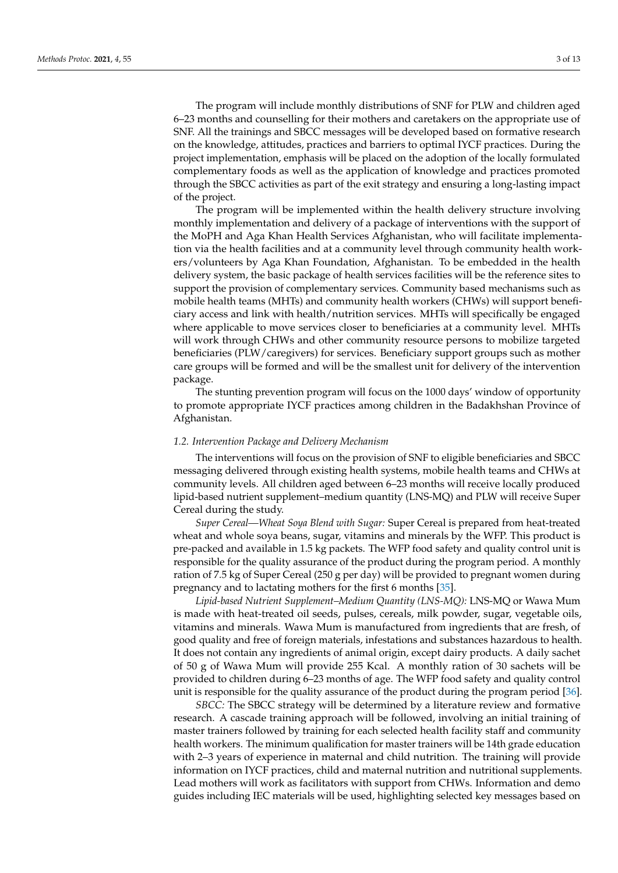The program will include monthly distributions of SNF for PLW and children aged 6–23 months and counselling for their mothers and caretakers on the appropriate use of SNF. All the trainings and SBCC messages will be developed based on formative research on the knowledge, attitudes, practices and barriers to optimal IYCF practices. During the project implementation, emphasis will be placed on the adoption of the locally formulated complementary foods as well as the application of knowledge and practices promoted through the SBCC activities as part of the exit strategy and ensuring a long-lasting impact of the project.

The program will be implemented within the health delivery structure involving monthly implementation and delivery of a package of interventions with the support of the MoPH and Aga Khan Health Services Afghanistan, who will facilitate implementation via the health facilities and at a community level through community health workers/volunteers by Aga Khan Foundation, Afghanistan. To be embedded in the health delivery system, the basic package of health services facilities will be the reference sites to support the provision of complementary services. Community based mechanisms such as mobile health teams (MHTs) and community health workers (CHWs) will support beneficiary access and link with health/nutrition services. MHTs will specifically be engaged where applicable to move services closer to beneficiaries at a community level. MHTs will work through CHWs and other community resource persons to mobilize targeted beneficiaries (PLW/caregivers) for services. Beneficiary support groups such as mother care groups will be formed and will be the smallest unit for delivery of the intervention package.

The stunting prevention program will focus on the 1000 days' window of opportunity to promote appropriate IYCF practices among children in the Badakhshan Province of Afghanistan.

#### *1.2. Intervention Package and Delivery Mechanism*

The interventions will focus on the provision of SNF to eligible beneficiaries and SBCC messaging delivered through existing health systems, mobile health teams and CHWs at community levels. All children aged between 6–23 months will receive locally produced lipid-based nutrient supplement–medium quantity (LNS-MQ) and PLW will receive Super Cereal during the study.

*Super Cereal—Wheat Soya Blend with Sugar:* Super Cereal is prepared from heat-treated wheat and whole soya beans, sugar, vitamins and minerals by the WFP. This product is pre-packed and available in 1.5 kg packets. The WFP food safety and quality control unit is responsible for the quality assurance of the product during the program period. A monthly ration of 7.5 kg of Super Cereal (250 g per day) will be provided to pregnant women during pregnancy and to lactating mothers for the first 6 months [\[35\]](#page-13-11).

*Lipid-based Nutrient Supplement–Medium Quantity (LNS-MQ):* LNS-MQ or Wawa Mum is made with heat-treated oil seeds, pulses, cereals, milk powder, sugar, vegetable oils, vitamins and minerals. Wawa Mum is manufactured from ingredients that are fresh, of good quality and free of foreign materials, infestations and substances hazardous to health. It does not contain any ingredients of animal origin, except dairy products. A daily sachet of 50 g of Wawa Mum will provide 255 Kcal. A monthly ration of 30 sachets will be provided to children during 6–23 months of age. The WFP food safety and quality control unit is responsible for the quality assurance of the product during the program period [\[36\]](#page-13-12).

*SBCC:* The SBCC strategy will be determined by a literature review and formative research. A cascade training approach will be followed, involving an initial training of master trainers followed by training for each selected health facility staff and community health workers. The minimum qualification for master trainers will be 14th grade education with 2–3 years of experience in maternal and child nutrition. The training will provide information on IYCF practices, child and maternal nutrition and nutritional supplements. Lead mothers will work as facilitators with support from CHWs. Information and demo guides including IEC materials will be used, highlighting selected key messages based on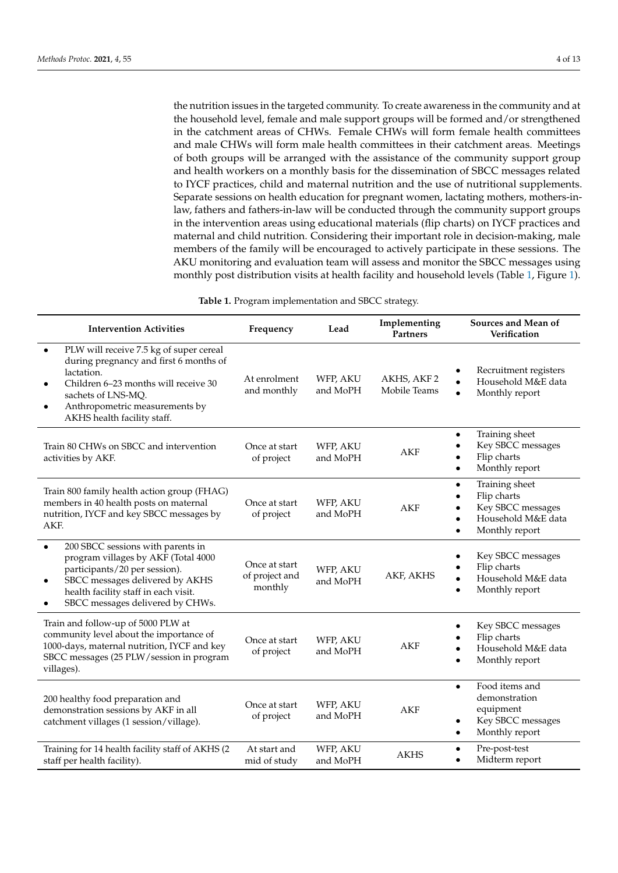the nutrition issues in the targeted community. To create awareness in the community and at the household level, female and male support groups will be formed and/or strengthened in the catchment areas of CHWs. Female CHWs will form female health committees and male CHWs will form male health committees in their catchment areas. Meetings of both groups will be arranged with the assistance of the community support group and health workers on a monthly basis for the dissemination of SBCC messages related to IYCF practices, child and maternal nutrition and the use of nutritional supplements. Separate sessions on health education for pregnant women, lactating mothers, mothers-inlaw, fathers and fathers-in-law will be conducted through the community support groups in the intervention areas using educational materials (flip charts) on IYCF practices and maternal and child nutrition. Considering their important role in decision-making, male members of the family will be encouraged to actively participate in these sessions. The AKU monitoring and evaluation team will assess and monitor the SBCC messages using monthly post distribution visits at health facility and household levels (Table [1,](#page-5-0) Figure [1\)](#page-6-0).

**Table 1.** Program implementation and SBCC strategy.

<span id="page-5-0"></span>

| <b>Intervention Activities</b>                                                                                                                                                                                                                     | Frequency                                  | Lead                 | Implementing<br>Partners    | Sources and Mean of<br>Verification                                                                        |
|----------------------------------------------------------------------------------------------------------------------------------------------------------------------------------------------------------------------------------------------------|--------------------------------------------|----------------------|-----------------------------|------------------------------------------------------------------------------------------------------------|
| PLW will receive 7.5 kg of super cereal<br>$\bullet$<br>during pregnancy and first 6 months of<br>lactation.<br>Children 6-23 months will receive 30<br>sachets of LNS-MQ.<br>Anthropometric measurements by<br>AKHS health facility staff.        | At enrolment<br>and monthly                | WFP, AKU<br>and MoPH | AKHS, AKF 2<br>Mobile Teams | Recruitment registers<br>Household M&E data<br>Monthly report                                              |
| Train 80 CHWs on SBCC and intervention<br>activities by AKF.                                                                                                                                                                                       | Once at start<br>of project                | WFP, AKU<br>and MoPH | <b>AKF</b>                  | Training sheet<br>٠<br>Key SBCC messages<br>Flip charts<br>Monthly report<br>$\bullet$                     |
| Train 800 family health action group (FHAG)<br>members in 40 health posts on maternal<br>nutrition, IYCF and key SBCC messages by<br>AKF.                                                                                                          | Once at start<br>of project                | WFP, AKU<br>and MoPH | <b>AKF</b>                  | Training sheet<br>$\bullet$<br>Flip charts<br>Key SBCC messages<br>Household M&E data<br>Monthly report    |
| 200 SBCC sessions with parents in<br>$\bullet$<br>program villages by AKF (Total 4000<br>participants/20 per session).<br>SBCC messages delivered by AKHS<br>$\bullet$<br>health facility staff in each visit.<br>SBCC messages delivered by CHWs. | Once at start<br>of project and<br>monthly | WFP, AKU<br>and MoPH | AKF, AKHS                   | Key SBCC messages<br>Flip charts<br>Household M&E data<br>Monthly report                                   |
| Train and follow-up of 5000 PLW at<br>community level about the importance of<br>1000-days, maternal nutrition, IYCF and key<br>SBCC messages (25 PLW/session in program<br>villages).                                                             | Once at start<br>of project                | WFP, AKU<br>and MoPH | AKF                         | Key SBCC messages<br>Flip charts<br>Household M&E data<br>Monthly report                                   |
| 200 healthy food preparation and<br>demonstration sessions by AKF in all<br>catchment villages (1 session/village).                                                                                                                                | Once at start<br>of project                | WFP, AKU<br>and MoPH | <b>AKF</b>                  | Food items and<br>$\bullet$<br>demonstration<br>equipment<br>Key SBCC messages<br>٠<br>Monthly report<br>٠ |
| Training for 14 health facility staff of AKHS (2<br>staff per health facility).                                                                                                                                                                    | At start and<br>mid of study               | WFP, AKU<br>and MoPH | <b>AKHS</b>                 | Pre-post-test<br>Midterm report                                                                            |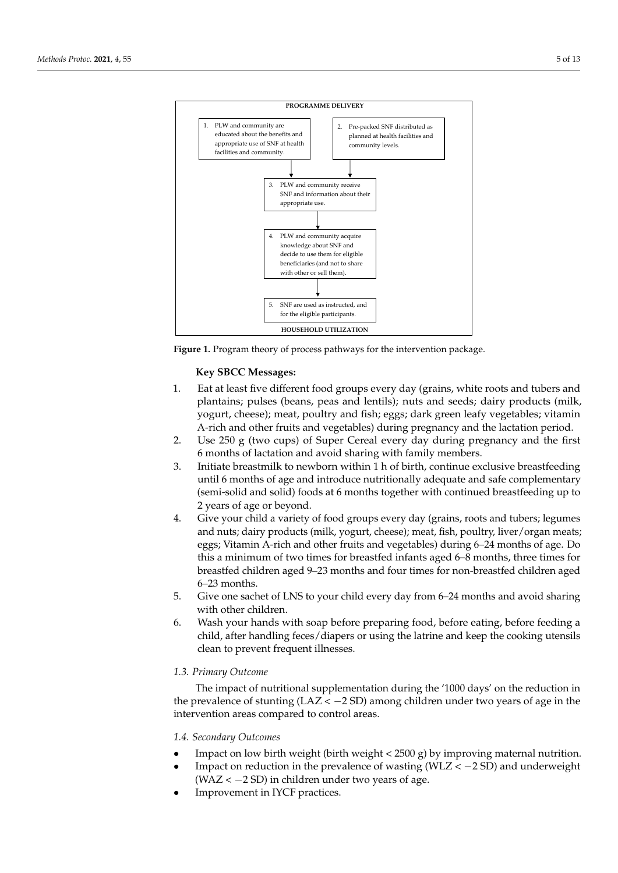<span id="page-6-0"></span>



## **Key SBCC Messages:**

- 1. Eat at least five different food groups every day (grains, white roots and tubers and plantains; pulses (beans, peas and lentils); nuts and seeds; dairy products (milk, yogurt, cheese); meat, poultry and fish; eggs; dark green leafy vegetables; vitamin A-rich and other fruits and vegetables) during pregnancy and the lactation period.
- 2. Use 250 g (two cups) of Super Cereal every day during pregnancy and the first 6 months of lactation and avoid sharing with family members.
- 3. Initiate breastmilk to newborn within 1 h of birth, continue exclusive breastfeeding until 6 months of age and introduce nutritionally adequate and safe complementary (semi-solid and solid) foods at 6 months together with continued breastfeeding up to 2 years of age or beyond.
- 4. Give your child a variety of food groups every day (grains, roots and tubers; legumes and nuts; dairy products (milk, yogurt, cheese); meat, fish, poultry, liver/organ meats; eggs; Vitamin A-rich and other fruits and vegetables) during 6–24 months of age. Do this a minimum of two times for breastfed infants aged 6–8 months, three times for breastfed children aged 9–23 months and four times for non-breastfed children aged 6–23 months.
- 5. Give one sachet of LNS to your child every day from 6–24 months and avoid sharing with other children.
- 6. Wash your hands with soap before preparing food, before eating, before feeding a child, after handling feces/diapers or using the latrine and keep the cooking utensils clean to prevent frequent illnesses.

#### *1.3. Primary Outcome*

The impact of nutritional supplementation during the '1000 days' on the reduction in the prevalence of stunting ( $LAZ < -2 SD$ ) among children under two years of age in the intervention areas compared to control areas.

#### *1.4. Secondary Outcomes*

- Impact on low birth weight (birth weight  $<$  2500 g) by improving maternal nutrition.
- Impact on reduction in the prevalence of wasting ( $WLZ < -2$  SD) and underweight  $(WAZ < -2 SD)$  in children under two years of age.
- Improvement in IYCF practices.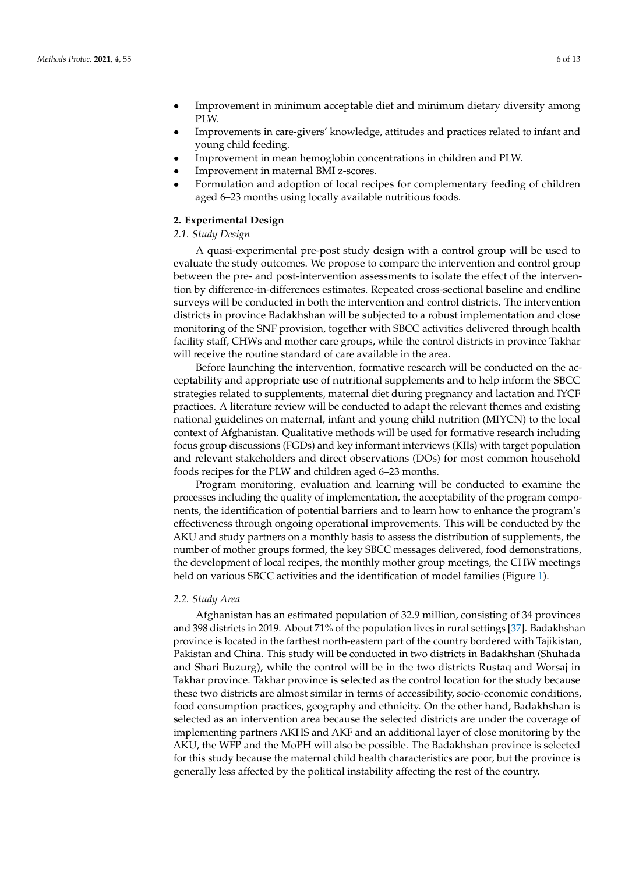- Improvement in minimum acceptable diet and minimum dietary diversity among PLW.
- Improvements in care-givers' knowledge, attitudes and practices related to infant and young child feeding.
- Improvement in mean hemoglobin concentrations in children and PLW.
- Improvement in maternal BMI z-scores.
- Formulation and adoption of local recipes for complementary feeding of children aged 6–23 months using locally available nutritious foods.

## **2. Experimental Design**

#### *2.1. Study Design*

A quasi-experimental pre-post study design with a control group will be used to evaluate the study outcomes. We propose to compare the intervention and control group between the pre- and post-intervention assessments to isolate the effect of the intervention by difference-in-differences estimates. Repeated cross-sectional baseline and endline surveys will be conducted in both the intervention and control districts. The intervention districts in province Badakhshan will be subjected to a robust implementation and close monitoring of the SNF provision, together with SBCC activities delivered through health facility staff, CHWs and mother care groups, while the control districts in province Takhar will receive the routine standard of care available in the area.

Before launching the intervention, formative research will be conducted on the acceptability and appropriate use of nutritional supplements and to help inform the SBCC strategies related to supplements, maternal diet during pregnancy and lactation and IYCF practices. A literature review will be conducted to adapt the relevant themes and existing national guidelines on maternal, infant and young child nutrition (MIYCN) to the local context of Afghanistan. Qualitative methods will be used for formative research including focus group discussions (FGDs) and key informant interviews (KIIs) with target population and relevant stakeholders and direct observations (DOs) for most common household foods recipes for the PLW and children aged 6–23 months.

Program monitoring, evaluation and learning will be conducted to examine the processes including the quality of implementation, the acceptability of the program components, the identification of potential barriers and to learn how to enhance the program's effectiveness through ongoing operational improvements. This will be conducted by the AKU and study partners on a monthly basis to assess the distribution of supplements, the number of mother groups formed, the key SBCC messages delivered, food demonstrations, the development of local recipes, the monthly mother group meetings, the CHW meetings held on various SBCC activities and the identification of model families (Figure [1\)](#page-6-0).

#### *2.2. Study Area*

Afghanistan has an estimated population of 32.9 million, consisting of 34 provinces and 398 districts in 2019. About 71% of the population lives in rural settings [\[37\]](#page-14-0). Badakhshan province is located in the farthest north-eastern part of the country bordered with Tajikistan, Pakistan and China. This study will be conducted in two districts in Badakhshan (Shuhada and Shari Buzurg), while the control will be in the two districts Rustaq and Worsaj in Takhar province. Takhar province is selected as the control location for the study because these two districts are almost similar in terms of accessibility, socio-economic conditions, food consumption practices, geography and ethnicity. On the other hand, Badakhshan is selected as an intervention area because the selected districts are under the coverage of implementing partners AKHS and AKF and an additional layer of close monitoring by the AKU, the WFP and the MoPH will also be possible. The Badakhshan province is selected for this study because the maternal child health characteristics are poor, but the province is generally less affected by the political instability affecting the rest of the country.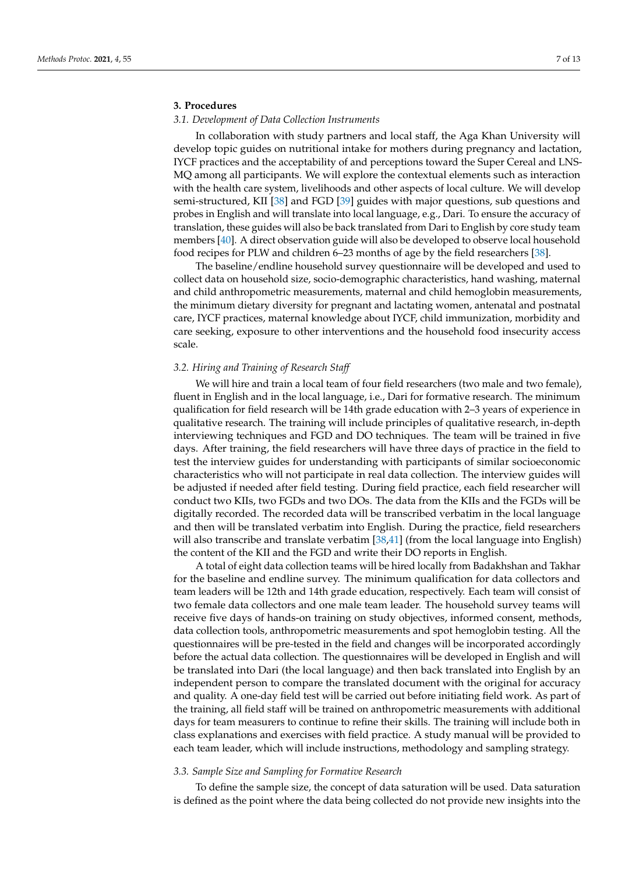### **3. Procedures**

#### *3.1. Development of Data Collection Instruments*

In collaboration with study partners and local staff, the Aga Khan University will develop topic guides on nutritional intake for mothers during pregnancy and lactation, IYCF practices and the acceptability of and perceptions toward the Super Cereal and LNS-MQ among all participants. We will explore the contextual elements such as interaction with the health care system, livelihoods and other aspects of local culture. We will develop semi-structured, KII [\[38\]](#page-14-1) and FGD [\[39\]](#page-14-2) guides with major questions, sub questions and probes in English and will translate into local language, e.g., Dari. To ensure the accuracy of translation, these guides will also be back translated from Dari to English by core study team members [\[40\]](#page-14-3). A direct observation guide will also be developed to observe local household food recipes for PLW and children 6–23 months of age by the field researchers [\[38\]](#page-14-1).

The baseline/endline household survey questionnaire will be developed and used to collect data on household size, socio-demographic characteristics, hand washing, maternal and child anthropometric measurements, maternal and child hemoglobin measurements, the minimum dietary diversity for pregnant and lactating women, antenatal and postnatal care, IYCF practices, maternal knowledge about IYCF, child immunization, morbidity and care seeking, exposure to other interventions and the household food insecurity access scale.

#### *3.2. Hiring and Training of Research Staff*

We will hire and train a local team of four field researchers (two male and two female), fluent in English and in the local language, i.e., Dari for formative research. The minimum qualification for field research will be 14th grade education with 2–3 years of experience in qualitative research. The training will include principles of qualitative research, in-depth interviewing techniques and FGD and DO techniques. The team will be trained in five days. After training, the field researchers will have three days of practice in the field to test the interview guides for understanding with participants of similar socioeconomic characteristics who will not participate in real data collection. The interview guides will be adjusted if needed after field testing. During field practice, each field researcher will conduct two KIIs, two FGDs and two DOs. The data from the KIIs and the FGDs will be digitally recorded. The recorded data will be transcribed verbatim in the local language and then will be translated verbatim into English. During the practice, field researchers will also transcribe and translate verbatim [\[38,](#page-14-1)[41\]](#page-14-4) (from the local language into English) the content of the KII and the FGD and write their DO reports in English.

A total of eight data collection teams will be hired locally from Badakhshan and Takhar for the baseline and endline survey. The minimum qualification for data collectors and team leaders will be 12th and 14th grade education, respectively. Each team will consist of two female data collectors and one male team leader. The household survey teams will receive five days of hands-on training on study objectives, informed consent, methods, data collection tools, anthropometric measurements and spot hemoglobin testing. All the questionnaires will be pre-tested in the field and changes will be incorporated accordingly before the actual data collection. The questionnaires will be developed in English and will be translated into Dari (the local language) and then back translated into English by an independent person to compare the translated document with the original for accuracy and quality. A one-day field test will be carried out before initiating field work. As part of the training, all field staff will be trained on anthropometric measurements with additional days for team measurers to continue to refine their skills. The training will include both in class explanations and exercises with field practice. A study manual will be provided to each team leader, which will include instructions, methodology and sampling strategy.

#### *3.3. Sample Size and Sampling for Formative Research*

To define the sample size, the concept of data saturation will be used. Data saturation is defined as the point where the data being collected do not provide new insights into the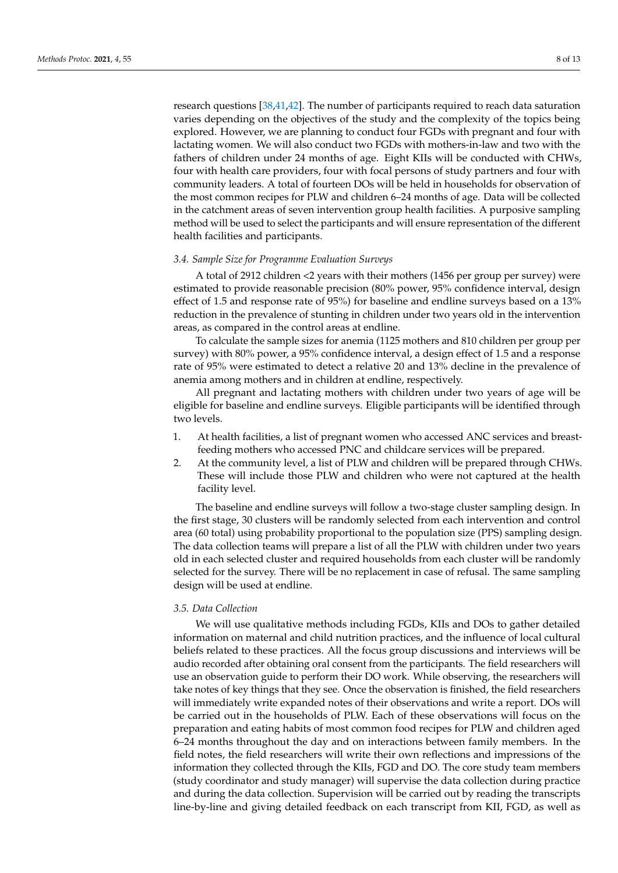research questions [\[38](#page-14-1)[,41,](#page-14-4)[42\]](#page-14-5). The number of participants required to reach data saturation varies depending on the objectives of the study and the complexity of the topics being explored. However, we are planning to conduct four FGDs with pregnant and four with lactating women. We will also conduct two FGDs with mothers-in-law and two with the fathers of children under 24 months of age. Eight KIIs will be conducted with CHWs, four with health care providers, four with focal persons of study partners and four with community leaders. A total of fourteen DOs will be held in households for observation of the most common recipes for PLW and children 6–24 months of age. Data will be collected in the catchment areas of seven intervention group health facilities. A purposive sampling method will be used to select the participants and will ensure representation of the different health facilities and participants.

#### *3.4. Sample Size for Programme Evaluation Surveys*

A total of 2912 children <2 years with their mothers (1456 per group per survey) were estimated to provide reasonable precision (80% power, 95% confidence interval, design effect of 1.5 and response rate of 95%) for baseline and endline surveys based on a 13% reduction in the prevalence of stunting in children under two years old in the intervention areas, as compared in the control areas at endline.

To calculate the sample sizes for anemia (1125 mothers and 810 children per group per survey) with 80% power, a 95% confidence interval, a design effect of 1.5 and a response rate of 95% were estimated to detect a relative 20 and 13% decline in the prevalence of anemia among mothers and in children at endline, respectively.

All pregnant and lactating mothers with children under two years of age will be eligible for baseline and endline surveys. Eligible participants will be identified through two levels.

- 1. At health facilities, a list of pregnant women who accessed ANC services and breastfeeding mothers who accessed PNC and childcare services will be prepared.
- 2. At the community level, a list of PLW and children will be prepared through CHWs. These will include those PLW and children who were not captured at the health facility level.

The baseline and endline surveys will follow a two-stage cluster sampling design. In the first stage, 30 clusters will be randomly selected from each intervention and control area (60 total) using probability proportional to the population size (PPS) sampling design. The data collection teams will prepare a list of all the PLW with children under two years old in each selected cluster and required households from each cluster will be randomly selected for the survey. There will be no replacement in case of refusal. The same sampling design will be used at endline.

#### *3.5. Data Collection*

We will use qualitative methods including FGDs, KIIs and DOs to gather detailed information on maternal and child nutrition practices, and the influence of local cultural beliefs related to these practices. All the focus group discussions and interviews will be audio recorded after obtaining oral consent from the participants. The field researchers will use an observation guide to perform their DO work. While observing, the researchers will take notes of key things that they see. Once the observation is finished, the field researchers will immediately write expanded notes of their observations and write a report. DOs will be carried out in the households of PLW. Each of these observations will focus on the preparation and eating habits of most common food recipes for PLW and children aged 6–24 months throughout the day and on interactions between family members. In the field notes, the field researchers will write their own reflections and impressions of the information they collected through the KIIs, FGD and DO. The core study team members (study coordinator and study manager) will supervise the data collection during practice and during the data collection. Supervision will be carried out by reading the transcripts line-by-line and giving detailed feedback on each transcript from KII, FGD, as well as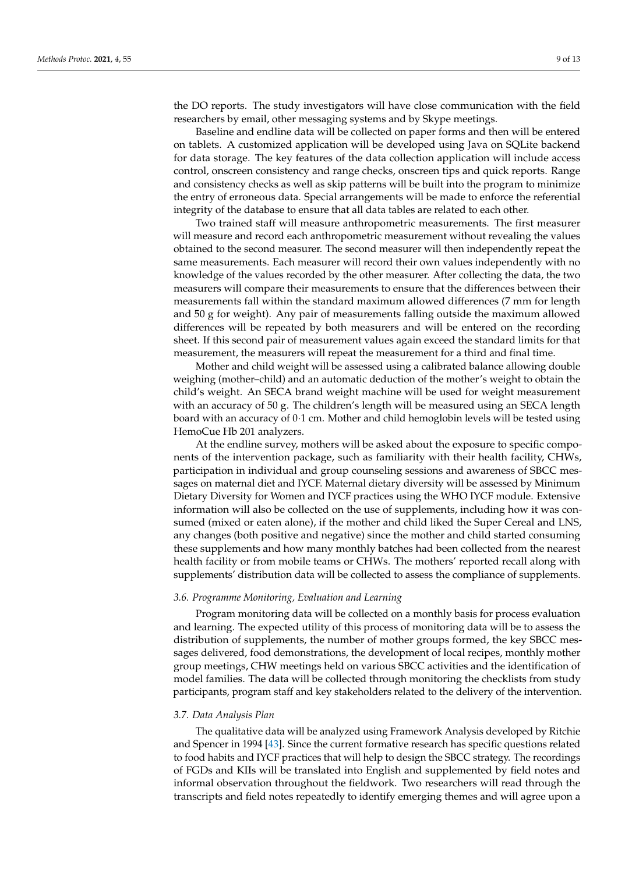the DO reports. The study investigators will have close communication with the field researchers by email, other messaging systems and by Skype meetings.

Baseline and endline data will be collected on paper forms and then will be entered on tablets. A customized application will be developed using Java on SQLite backend for data storage. The key features of the data collection application will include access control, onscreen consistency and range checks, onscreen tips and quick reports. Range and consistency checks as well as skip patterns will be built into the program to minimize the entry of erroneous data. Special arrangements will be made to enforce the referential integrity of the database to ensure that all data tables are related to each other.

Two trained staff will measure anthropometric measurements. The first measurer will measure and record each anthropometric measurement without revealing the values obtained to the second measurer. The second measurer will then independently repeat the same measurements. Each measurer will record their own values independently with no knowledge of the values recorded by the other measurer. After collecting the data, the two measurers will compare their measurements to ensure that the differences between their measurements fall within the standard maximum allowed differences (7 mm for length and 50 g for weight). Any pair of measurements falling outside the maximum allowed differences will be repeated by both measurers and will be entered on the recording sheet. If this second pair of measurement values again exceed the standard limits for that measurement, the measurers will repeat the measurement for a third and final time.

Mother and child weight will be assessed using a calibrated balance allowing double weighing (mother–child) and an automatic deduction of the mother's weight to obtain the child's weight. An SECA brand weight machine will be used for weight measurement with an accuracy of 50 g. The children's length will be measured using an SECA length board with an accuracy of 0·1 cm. Mother and child hemoglobin levels will be tested using HemoCue Hb 201 analyzers.

At the endline survey, mothers will be asked about the exposure to specific components of the intervention package, such as familiarity with their health facility, CHWs, participation in individual and group counseling sessions and awareness of SBCC messages on maternal diet and IYCF. Maternal dietary diversity will be assessed by Minimum Dietary Diversity for Women and IYCF practices using the WHO IYCF module. Extensive information will also be collected on the use of supplements, including how it was consumed (mixed or eaten alone), if the mother and child liked the Super Cereal and LNS, any changes (both positive and negative) since the mother and child started consuming these supplements and how many monthly batches had been collected from the nearest health facility or from mobile teams or CHWs. The mothers' reported recall along with supplements' distribution data will be collected to assess the compliance of supplements.

#### *3.6. Programme Monitoring, Evaluation and Learning*

Program monitoring data will be collected on a monthly basis for process evaluation and learning. The expected utility of this process of monitoring data will be to assess the distribution of supplements, the number of mother groups formed, the key SBCC messages delivered, food demonstrations, the development of local recipes, monthly mother group meetings, CHW meetings held on various SBCC activities and the identification of model families. The data will be collected through monitoring the checklists from study participants, program staff and key stakeholders related to the delivery of the intervention.

#### *3.7. Data Analysis Plan*

The qualitative data will be analyzed using Framework Analysis developed by Ritchie and Spencer in 1994 [\[43\]](#page-14-6). Since the current formative research has specific questions related to food habits and IYCF practices that will help to design the SBCC strategy. The recordings of FGDs and KIIs will be translated into English and supplemented by field notes and informal observation throughout the fieldwork. Two researchers will read through the transcripts and field notes repeatedly to identify emerging themes and will agree upon a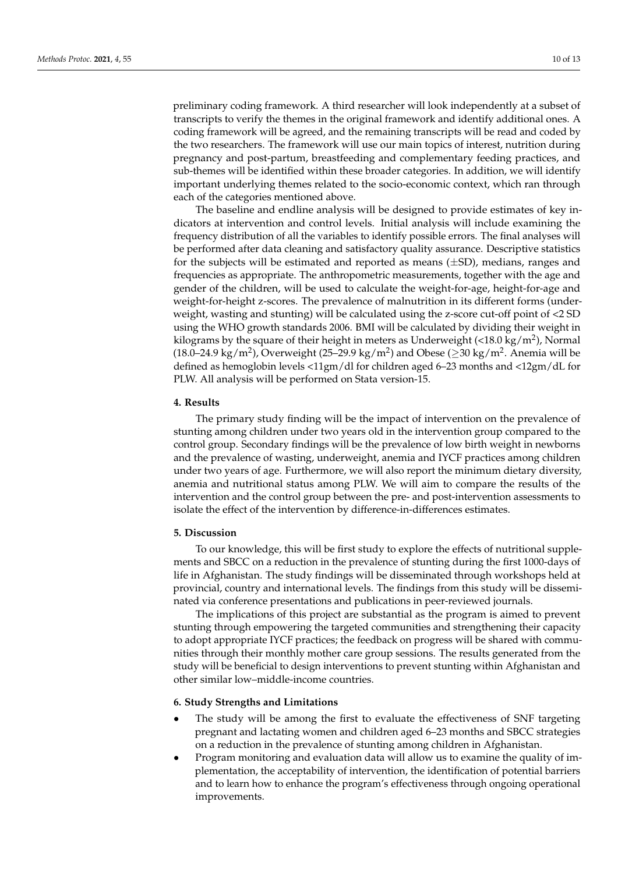preliminary coding framework. A third researcher will look independently at a subset of transcripts to verify the themes in the original framework and identify additional ones. A coding framework will be agreed, and the remaining transcripts will be read and coded by the two researchers. The framework will use our main topics of interest, nutrition during pregnancy and post-partum, breastfeeding and complementary feeding practices, and sub-themes will be identified within these broader categories. In addition, we will identify important underlying themes related to the socio-economic context, which ran through each of the categories mentioned above.

The baseline and endline analysis will be designed to provide estimates of key indicators at intervention and control levels. Initial analysis will include examining the frequency distribution of all the variables to identify possible errors. The final analyses will be performed after data cleaning and satisfactory quality assurance. Descriptive statistics for the subjects will be estimated and reported as means  $(\pm SD)$ , medians, ranges and frequencies as appropriate. The anthropometric measurements, together with the age and gender of the children, will be used to calculate the weight-for-age, height-for-age and weight-for-height z-scores. The prevalence of malnutrition in its different forms (underweight, wasting and stunting) will be calculated using the z-score cut-off point of <2 SD using the WHO growth standards 2006. BMI will be calculated by dividing their weight in kilograms by the square of their height in meters as Underweight (<18.0 kg/m<sup>2</sup>), Normal (18.0–24.9 kg/m<sup>2</sup>), Overweight (25–29.9 kg/m<sup>2</sup>) and Obese ( $\geq$ 30 kg/m<sup>2</sup>. Anemia will be defined as hemoglobin levels <11gm/dl for children aged 6–23 months and <12gm/dL for PLW. All analysis will be performed on Stata version-15.

### **4. Results**

The primary study finding will be the impact of intervention on the prevalence of stunting among children under two years old in the intervention group compared to the control group. Secondary findings will be the prevalence of low birth weight in newborns and the prevalence of wasting, underweight, anemia and IYCF practices among children under two years of age. Furthermore, we will also report the minimum dietary diversity, anemia and nutritional status among PLW. We will aim to compare the results of the intervention and the control group between the pre- and post-intervention assessments to isolate the effect of the intervention by difference-in-differences estimates.

#### **5. Discussion**

To our knowledge, this will be first study to explore the effects of nutritional supplements and SBCC on a reduction in the prevalence of stunting during the first 1000-days of life in Afghanistan. The study findings will be disseminated through workshops held at provincial, country and international levels. The findings from this study will be disseminated via conference presentations and publications in peer-reviewed journals.

The implications of this project are substantial as the program is aimed to prevent stunting through empowering the targeted communities and strengthening their capacity to adopt appropriate IYCF practices; the feedback on progress will be shared with communities through their monthly mother care group sessions. The results generated from the study will be beneficial to design interventions to prevent stunting within Afghanistan and other similar low–middle-income countries.

#### **6. Study Strengths and Limitations**

- The study will be among the first to evaluate the effectiveness of SNF targeting pregnant and lactating women and children aged 6–23 months and SBCC strategies on a reduction in the prevalence of stunting among children in Afghanistan.
- Program monitoring and evaluation data will allow us to examine the quality of implementation, the acceptability of intervention, the identification of potential barriers and to learn how to enhance the program's effectiveness through ongoing operational improvements.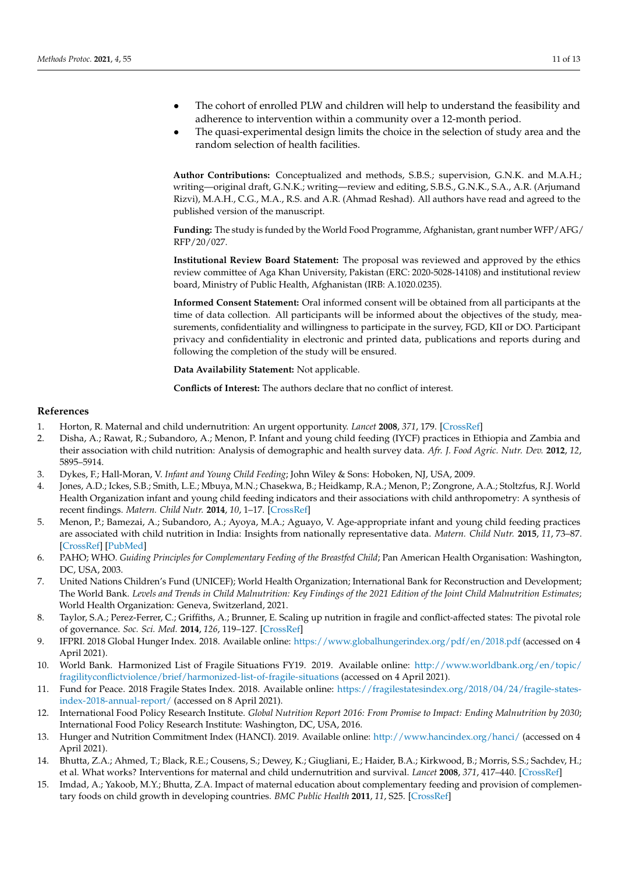- The cohort of enrolled PLW and children will help to understand the feasibility and adherence to intervention within a community over a 12-month period.
- The quasi-experimental design limits the choice in the selection of study area and the random selection of health facilities.

**Author Contributions:** Conceptualized and methods, S.B.S.; supervision, G.N.K. and M.A.H.; writing—original draft, G.N.K.; writing—review and editing, S.B.S., G.N.K., S.A., A.R. (Arjumand Rizvi), M.A.H., C.G., M.A., R.S. and A.R. (Ahmad Reshad). All authors have read and agreed to the published version of the manuscript.

**Funding:** The study is funded by the World Food Programme, Afghanistan, grant number WFP/AFG/ RFP/20/027.

**Institutional Review Board Statement:** The proposal was reviewed and approved by the ethics review committee of Aga Khan University, Pakistan (ERC: 2020-5028-14108) and institutional review board, Ministry of Public Health, Afghanistan (IRB: A.1020.0235).

**Informed Consent Statement:** Oral informed consent will be obtained from all participants at the time of data collection. All participants will be informed about the objectives of the study, measurements, confidentiality and willingness to participate in the survey, FGD, KII or DO. Participant privacy and confidentiality in electronic and printed data, publications and reports during and following the completion of the study will be ensured.

**Data Availability Statement:** Not applicable.

**Conflicts of Interest:** The authors declare that no conflict of interest.

#### **References**

- <span id="page-12-0"></span>1. Horton, R. Maternal and child undernutrition: An urgent opportunity. *Lancet* **2008**, *371*, 179. [\[CrossRef\]](http://doi.org/10.1016/S0140-6736(07)61869-8)
- <span id="page-12-1"></span>2. Disha, A.; Rawat, R.; Subandoro, A.; Menon, P. Infant and young child feeding (IYCF) practices in Ethiopia and Zambia and their association with child nutrition: Analysis of demographic and health survey data. *Afr. J. Food Agric. Nutr. Dev.* **2012**, *12*, 5895–5914.
- 3. Dykes, F.; Hall-Moran, V. *Infant and Young Child Feeding*; John Wiley & Sons: Hoboken, NJ, USA, 2009.
- 4. Jones, A.D.; Ickes, S.B.; Smith, L.E.; Mbuya, M.N.; Chasekwa, B.; Heidkamp, R.A.; Menon, P.; Zongrone, A.A.; Stoltzfus, R.J. World Health Organization infant and young child feeding indicators and their associations with child anthropometry: A synthesis of recent findings. *Matern. Child Nutr.* **2014**, *10*, 1–17. [\[CrossRef\]](http://doi.org/10.1111/mcn.12070)
- 5. Menon, P.; Bamezai, A.; Subandoro, A.; Ayoya, M.A.; Aguayo, V. Age-appropriate infant and young child feeding practices are associated with child nutrition in India: Insights from nationally representative data. *Matern. Child Nutr.* **2015**, *11*, 73–87. [\[CrossRef\]](http://doi.org/10.1111/mcn.12036) [\[PubMed\]](http://www.ncbi.nlm.nih.gov/pubmed/23557463)
- <span id="page-12-2"></span>6. PAHO; WHO. *Guiding Principles for Complementary Feeding of the Breastfed Child*; Pan American Health Organisation: Washington, DC, USA, 2003.
- <span id="page-12-3"></span>7. United Nations Children's Fund (UNICEF); World Health Organization; International Bank for Reconstruction and Development; The World Bank. *Levels and Trends in Child Malnutrition: Key Findings of the 2021 Edition of the Joint Child Malnutrition Estimates*; World Health Organization: Geneva, Switzerland, 2021.
- <span id="page-12-4"></span>8. Taylor, S.A.; Perez-Ferrer, C.; Griffiths, A.; Brunner, E. Scaling up nutrition in fragile and conflict-affected states: The pivotal role of governance. *Soc. Sci. Med.* **2014**, *126*, 119–127. [\[CrossRef\]](http://doi.org/10.1016/j.socscimed.2014.12.016)
- <span id="page-12-5"></span>9. IFPRI. 2018 Global Hunger Index. 2018. Available online: <https://www.globalhungerindex.org/pdf/en/2018.pdf> (accessed on 4 April 2021).
- <span id="page-12-6"></span>10. World Bank. Harmonized List of Fragile Situations FY19. 2019. Available online: [http://www.worldbank.org/en/topic/](http://www.worldbank.org/en/topic/fragilityconflictviolence/brief/harmonized-list-of-fragile-situations) [fragilityconflictviolence/brief/harmonized-list-of-fragile-situations](http://www.worldbank.org/en/topic/fragilityconflictviolence/brief/harmonized-list-of-fragile-situations) (accessed on 4 April 2021).
- <span id="page-12-7"></span>11. Fund for Peace. 2018 Fragile States Index. 2018. Available online: [https://fragilestatesindex.org/2018/04/24/fragile-states](https://fragilestatesindex.org/2018/04/24/fragile-states-index-2018-annual-report/)[index-2018-annual-report/](https://fragilestatesindex.org/2018/04/24/fragile-states-index-2018-annual-report/) (accessed on 8 April 2021).
- <span id="page-12-8"></span>12. International Food Policy Research Institute. *Global Nutrition Report 2016: From Promise to Impact: Ending Malnutrition by 2030*; International Food Policy Research Institute: Washington, DC, USA, 2016.
- <span id="page-12-9"></span>13. Hunger and Nutrition Commitment Index (HANCI). 2019. Available online: <http://www.hancindex.org/hanci/> (accessed on 4 April 2021).
- <span id="page-12-10"></span>14. Bhutta, Z.A.; Ahmed, T.; Black, R.E.; Cousens, S.; Dewey, K.; Giugliani, E.; Haider, B.A.; Kirkwood, B.; Morris, S.S.; Sachdev, H.; et al. What works? Interventions for maternal and child undernutrition and survival. *Lancet* **2008**, *371*, 417–440. [\[CrossRef\]](http://doi.org/10.1016/S0140-6736(07)61693-6)
- 15. Imdad, A.; Yakoob, M.Y.; Bhutta, Z.A. Impact of maternal education about complementary feeding and provision of complementary foods on child growth in developing countries. *BMC Public Health* **2011**, *11*, S25. [\[CrossRef\]](http://doi.org/10.1186/1471-2458-11-S3-S25)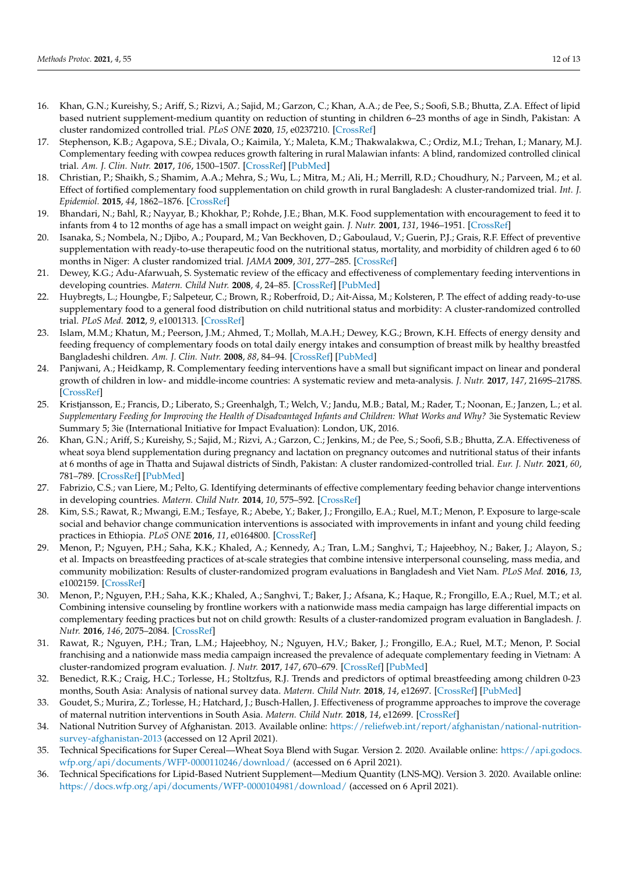- <span id="page-13-0"></span>16. Khan, G.N.; Kureishy, S.; Ariff, S.; Rizvi, A.; Sajid, M.; Garzon, C.; Khan, A.A.; de Pee, S.; Soofi, S.B.; Bhutta, Z.A. Effect of lipid based nutrient supplement-medium quantity on reduction of stunting in children 6–23 months of age in Sindh, Pakistan: A cluster randomized controlled trial. *PLoS ONE* **2020**, *15*, e0237210. [\[CrossRef\]](http://doi.org/10.1371/journal.pone.0237210)
- <span id="page-13-1"></span>17. Stephenson, K.B.; Agapova, S.E.; Divala, O.; Kaimila, Y.; Maleta, K.M.; Thakwalakwa, C.; Ordiz, M.I.; Trehan, I.; Manary, M.J. Complementary feeding with cowpea reduces growth faltering in rural Malawian infants: A blind, randomized controlled clinical trial. *Am. J. Clin. Nutr.* **2017**, *106*, 1500–1507. [\[CrossRef\]](http://doi.org/10.3945/ajcn.117.160986) [\[PubMed\]](http://www.ncbi.nlm.nih.gov/pubmed/29092882)
- 18. Christian, P.; Shaikh, S.; Shamim, A.A.; Mehra, S.; Wu, L.; Mitra, M.; Ali, H.; Merrill, R.D.; Choudhury, N.; Parveen, M.; et al. Effect of fortified complementary food supplementation on child growth in rural Bangladesh: A cluster-randomized trial. *Int. J. Epidemiol.* **2015**, *44*, 1862–1876. [\[CrossRef\]](http://doi.org/10.1093/ije/dyv155)
- 19. Bhandari, N.; Bahl, R.; Nayyar, B.; Khokhar, P.; Rohde, J.E.; Bhan, M.K. Food supplementation with encouragement to feed it to infants from 4 to 12 months of age has a small impact on weight gain. *J. Nutr.* **2001**, *131*, 1946–1951. [\[CrossRef\]](http://doi.org/10.1093/jn/131.7.1946)
- 20. Isanaka, S.; Nombela, N.; Djibo, A.; Poupard, M.; Van Beckhoven, D.; Gaboulaud, V.; Guerin, P.J.; Grais, R.F. Effect of preventive supplementation with ready-to-use therapeutic food on the nutritional status, mortality, and morbidity of children aged 6 to 60 months in Niger: A cluster randomized trial. *JAMA* **2009**, *301*, 277–285. [\[CrossRef\]](http://doi.org/10.1001/jama.2008.1018)
- 21. Dewey, K.G.; Adu-Afarwuah, S. Systematic review of the efficacy and effectiveness of complementary feeding interventions in developing countries. *Matern. Child Nutr.* **2008**, *4*, 24–85. [\[CrossRef\]](http://doi.org/10.1111/j.1740-8709.2007.00124.x) [\[PubMed\]](http://www.ncbi.nlm.nih.gov/pubmed/18289157)
- 22. Huybregts, L.; Houngbe, F.; Salpeteur, C.; Brown, R.; Roberfroid, D.; Ait-Aissa, M.; Kolsteren, P. The effect of adding ready-to-use supplementary food to a general food distribution on child nutritional status and morbidity: A cluster-randomized controlled trial. *PLoS Med.* **2012**, *9*, e1001313. [\[CrossRef\]](http://doi.org/10.1371/journal.pmed.1001313)
- 23. Islam, M.M.; Khatun, M.; Peerson, J.M.; Ahmed, T.; Mollah, M.A.H.; Dewey, K.G.; Brown, K.H. Effects of energy density and feeding frequency of complementary foods on total daily energy intakes and consumption of breast milk by healthy breastfed Bangladeshi children. *Am. J. Clin. Nutr.* **2008**, *88*, 84–94. [\[CrossRef\]](http://doi.org/10.1093/ajcn/88.1.84) [\[PubMed\]](http://www.ncbi.nlm.nih.gov/pubmed/18614728)
- 24. Panjwani, A.; Heidkamp, R. Complementary feeding interventions have a small but significant impact on linear and ponderal growth of children in low- and middle-income countries: A systematic review and meta-analysis. *J. Nutr.* **2017**, *147*, 2169S–2178S. [\[CrossRef\]](http://doi.org/10.3945/jn.116.243857)
- 25. Kristjansson, E.; Francis, D.; Liberato, S.; Greenhalgh, T.; Welch, V.; Jandu, M.B.; Batal, M.; Rader, T.; Noonan, E.; Janzen, L.; et al. *Supplementary Feeding for Improving the Health of Disadvantaged Infants and Children: What Works and Why?* 3ie Systematic Review Summary 5; 3ie (International Initiative for Impact Evaluation): London, UK, 2016.
- <span id="page-13-2"></span>26. Khan, G.N.; Ariff, S.; Kureishy, S.; Sajid, M.; Rizvi, A.; Garzon, C.; Jenkins, M.; de Pee, S.; Soofi, S.B.; Bhutta, Z.A. Effectiveness of wheat soya blend supplementation during pregnancy and lactation on pregnancy outcomes and nutritional status of their infants at 6 months of age in Thatta and Sujawal districts of Sindh, Pakistan: A cluster randomized-controlled trial. *Eur. J. Nutr.* **2021**, *60*, 781–789. [\[CrossRef\]](http://doi.org/10.1007/s00394-020-02276-3) [\[PubMed\]](http://www.ncbi.nlm.nih.gov/pubmed/32448992)
- <span id="page-13-3"></span>27. Fabrizio, C.S.; van Liere, M.; Pelto, G. Identifying determinants of effective complementary feeding behavior change interventions in developing countries. *Matern. Child Nutr.* **2014**, *10*, 575–592. [\[CrossRef\]](http://doi.org/10.1111/mcn.12119)
- <span id="page-13-4"></span>28. Kim, S.S.; Rawat, R.; Mwangi, E.M.; Tesfaye, R.; Abebe, Y.; Baker, J.; Frongillo, E.A.; Ruel, M.T.; Menon, P. Exposure to large-scale social and behavior change communication interventions is associated with improvements in infant and young child feeding practices in Ethiopia. *PLoS ONE* **2016**, *11*, e0164800. [\[CrossRef\]](http://doi.org/10.1371/journal.pone.0164800)
- <span id="page-13-5"></span>29. Menon, P.; Nguyen, P.H.; Saha, K.K.; Khaled, A.; Kennedy, A.; Tran, L.M.; Sanghvi, T.; Hajeebhoy, N.; Baker, J.; Alayon, S.; et al. Impacts on breastfeeding practices of at-scale strategies that combine intensive interpersonal counseling, mass media, and community mobilization: Results of cluster-randomized program evaluations in Bangladesh and Viet Nam. *PLoS Med.* **2016**, *13*, e1002159. [\[CrossRef\]](http://doi.org/10.1371/journal.pmed.1002159)
- <span id="page-13-6"></span>30. Menon, P.; Nguyen, P.H.; Saha, K.K.; Khaled, A.; Sanghvi, T.; Baker, J.; Afsana, K.; Haque, R.; Frongillo, E.A.; Ruel, M.T.; et al. Combining intensive counseling by frontline workers with a nationwide mass media campaign has large differential impacts on complementary feeding practices but not on child growth: Results of a cluster-randomized program evaluation in Bangladesh. *J. Nutr.* **2016**, *146*, 2075–2084. [\[CrossRef\]](http://doi.org/10.3945/jn.116.232314)
- <span id="page-13-7"></span>31. Rawat, R.; Nguyen, P.H.; Tran, L.M.; Hajeebhoy, N.; Nguyen, H.V.; Baker, J.; Frongillo, E.A.; Ruel, M.T.; Menon, P. Social franchising and a nationwide mass media campaign increased the prevalence of adequate complementary feeding in Vietnam: A cluster-randomized program evaluation. *J. Nutr.* **2017**, *147*, 670–679. [\[CrossRef\]](http://doi.org/10.3945/jn.116.243907) [\[PubMed\]](http://www.ncbi.nlm.nih.gov/pubmed/28179488)
- <span id="page-13-8"></span>32. Benedict, R.K.; Craig, H.C.; Torlesse, H.; Stoltzfus, R.J. Trends and predictors of optimal breastfeeding among children 0-23 months, South Asia: Analysis of national survey data. *Matern. Child Nutr.* **2018**, *14*, e12697. [\[CrossRef\]](http://doi.org/10.1111/mcn.12698) [\[PubMed\]](http://www.ncbi.nlm.nih.gov/pubmed/30499251)
- <span id="page-13-9"></span>33. Goudet, S.; Murira, Z.; Torlesse, H.; Hatchard, J.; Busch-Hallen, J. Effectiveness of programme approaches to improve the coverage of maternal nutrition interventions in South Asia. *Matern. Child Nutr.* **2018**, *14*, e12699. [\[CrossRef\]](http://doi.org/10.1111/mcn.12699)
- <span id="page-13-10"></span>34. National Nutrition Survey of Afghanistan. 2013. Available online: [https://reliefweb.int/report/afghanistan/national-nutrition](https://reliefweb.int/report/afghanistan/national-nutrition-survey-afghanistan-2013)[survey-afghanistan-2013](https://reliefweb.int/report/afghanistan/national-nutrition-survey-afghanistan-2013) (accessed on 12 April 2021).
- <span id="page-13-11"></span>35. Technical Specifications for Super Cereal—Wheat Soya Blend with Sugar. Version 2. 2020. Available online: [https://api.godocs.](https://api.godocs.wfp.org/api/documents/WFP-0000110246/download/) [wfp.org/api/documents/WFP-0000110246/download/](https://api.godocs.wfp.org/api/documents/WFP-0000110246/download/) (accessed on 6 April 2021).
- <span id="page-13-12"></span>36. Technical Specifications for Lipid-Based Nutrient Supplement—Medium Quantity (LNS-MQ). Version 3. 2020. Available online: <https://docs.wfp.org/api/documents/WFP-0000104981/download/> (accessed on 6 April 2021).